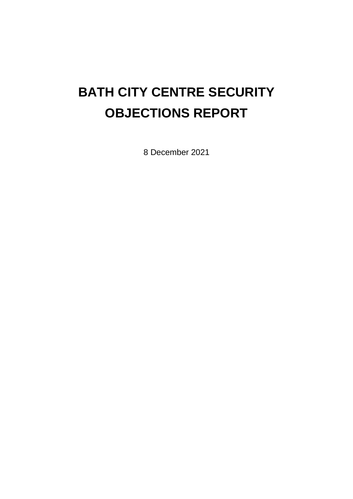# **BATH CITY CENTRE SECURITY OBJECTIONS REPORT**

8 December 2021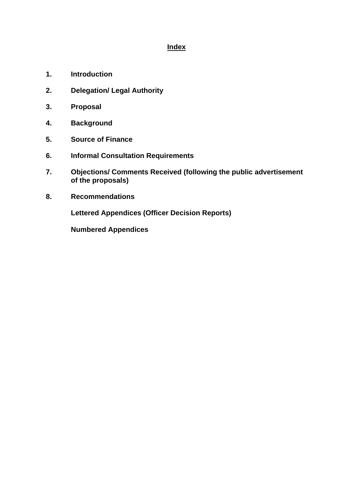## **Index**

- **1. Introduction**
- **2. Delegation/ Legal Authority**
- **3. Proposal**
- **4. Background**
- **5. Source of Finance**
- **6. Informal Consultation Requirements**
- **7. Objections/ Comments Received (following the public advertisement of the proposals)**
- **8. Recommendations**

**Lettered Appendices (Officer Decision Reports)**

**Numbered Appendices**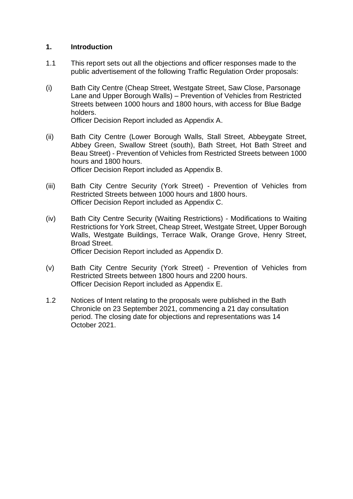## **1. Introduction**

- 1.1 This report sets out all the objections and officer responses made to the public advertisement of the following Traffic Regulation Order proposals:
- (i) Bath City Centre (Cheap Street, Westgate Street, Saw Close, Parsonage Lane and Upper Borough Walls) – Prevention of Vehicles from Restricted Streets between 1000 hours and 1800 hours, with access for Blue Badge holders.

Officer Decision Report included as Appendix A.

- (ii) Bath City Centre (Lower Borough Walls, Stall Street, Abbeygate Street, Abbey Green, Swallow Street (south), Bath Street, Hot Bath Street and Beau Street) - Prevention of Vehicles from Restricted Streets between 1000 hours and 1800 hours. Officer Decision Report included as Appendix B.
- (iii) Bath City Centre Security (York Street) Prevention of Vehicles from Restricted Streets between 1000 hours and 1800 hours. Officer Decision Report included as Appendix C.
- (iv) Bath City Centre Security (Waiting Restrictions) Modifications to Waiting Restrictions for York Street, Cheap Street, Westgate Street, Upper Borough Walls, Westgate Buildings, Terrace Walk, Orange Grove, Henry Street, Broad Street. Officer Decision Report included as Appendix D.
- (v) Bath City Centre Security (York Street) Prevention of Vehicles from Restricted Streets between 1800 hours and 2200 hours. Officer Decision Report included as Appendix E.
- 1.2 Notices of Intent relating to the proposals were published in the Bath Chronicle on 23 September 2021, commencing a 21 day consultation period. The closing date for objections and representations was 14 October 2021.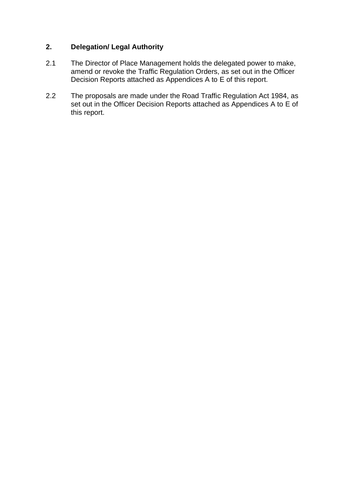# **2. Delegation/ Legal Authority**

- 2.1 The Director of Place Management holds the delegated power to make, amend or revoke the Traffic Regulation Orders, as set out in the Officer Decision Reports attached as Appendices A to E of this report.
- 2.2 The proposals are made under the Road Traffic Regulation Act 1984, as set out in the Officer Decision Reports attached as Appendices A to E of this report.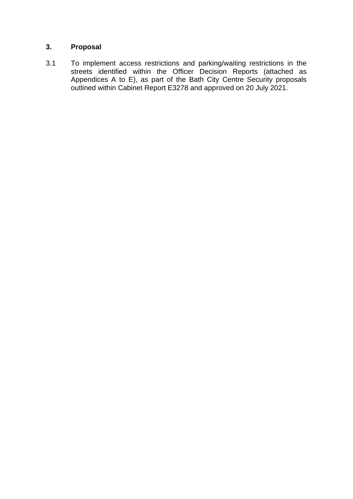# **3. Proposal**

3.1 To implement access restrictions and parking/waiting restrictions in the streets identified within the Officer Decision Reports (attached as Appendices A to E), as part of the Bath City Centre Security proposals outlined within Cabinet Report E3278 and approved on 20 July 2021.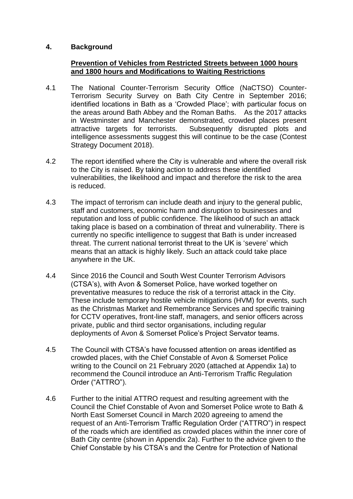## **4. Background**

## **Prevention of Vehicles from Restricted Streets between 1000 hours and 1800 hours and Modifications to Waiting Restrictions**

- 4.1 The National Counter-Terrorism Security Office (NaCTSO) Counter-Terrorism Security Survey on Bath City Centre in September 2016; identified locations in Bath as a 'Crowded Place'; with particular focus on the areas around Bath Abbey and the Roman Baths. As the 2017 attacks in Westminster and Manchester demonstrated, crowded places present attractive targets for terrorists. Subsequently disrupted plots and intelligence assessments suggest this will continue to be the case (Contest Strategy Document 2018).
- 4.2 The report identified where the City is vulnerable and where the overall risk to the City is raised. By taking action to address these identified vulnerabilities, the likelihood and impact and therefore the risk to the area is reduced.
- 4.3 The impact of terrorism can include death and injury to the general public, staff and customers, economic harm and disruption to businesses and reputation and loss of public confidence. The likelihood of such an attack taking place is based on a combination of threat and vulnerability. There is currently no specific intelligence to suggest that Bath is under increased threat. The current national terrorist threat to the UK is 'severe' which means that an attack is highly likely. Such an attack could take place anywhere in the UK.
- 4.4 Since 2016 the Council and South West Counter Terrorism Advisors (CTSA's), with Avon & Somerset Police, have worked together on preventative measures to reduce the risk of a terrorist attack in the City. These include temporary hostile vehicle mitigations (HVM) for events, such as the Christmas Market and Remembrance Services and specific training for CCTV operatives, front-line staff, managers, and senior officers across private, public and third sector organisations, including regular deployments of Avon & Somerset Police's Project Servator teams.
- 4.5 The Council with CTSA's have focussed attention on areas identified as crowded places, with the Chief Constable of Avon & Somerset Police writing to the Council on 21 February 2020 (attached at Appendix 1a) to recommend the Council introduce an Anti-Terrorism Traffic Regulation Order ("ATTRO").
- 4.6 Further to the initial ATTRO request and resulting agreement with the Council the Chief Constable of Avon and Somerset Police wrote to Bath & North East Somerset Council in March 2020 agreeing to amend the request of an Anti-Terrorism Traffic Regulation Order ("ATTRO") in respect of the roads which are identified as crowded places within the inner core of Bath City centre (shown in Appendix 2a). Further to the advice given to the Chief Constable by his CTSA's and the Centre for Protection of National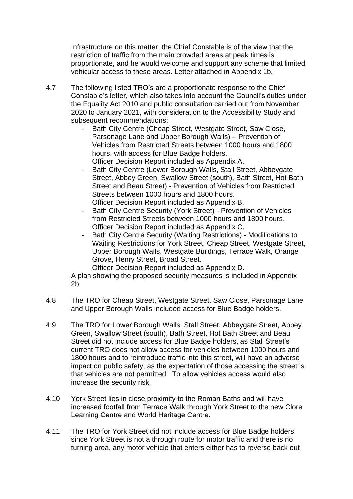Infrastructure on this matter, the Chief Constable is of the view that the restriction of traffic from the main crowded areas at peak times is proportionate, and he would welcome and support any scheme that limited vehicular access to these areas. Letter attached in Appendix 1b.

- 4.7 The following listed TRO's are a proportionate response to the Chief Constable's letter, which also takes into account the Council's duties under the Equality Act 2010 and public consultation carried out from November 2020 to January 2021, with consideration to the Accessibility Study and subsequent recommendations:
	- Bath City Centre (Cheap Street, Westgate Street, Saw Close, Parsonage Lane and Upper Borough Walls) – Prevention of Vehicles from Restricted Streets between 1000 hours and 1800 hours, with access for Blue Badge holders. Officer Decision Report included as Appendix A.
	- Bath City Centre (Lower Borough Walls, Stall Street, Abbeygate Street, Abbey Green, Swallow Street (south), Bath Street, Hot Bath Street and Beau Street) - Prevention of Vehicles from Restricted Streets between 1000 hours and 1800 hours. Officer Decision Report included as Appendix B.
	- Bath City Centre Security (York Street) Prevention of Vehicles from Restricted Streets between 1000 hours and 1800 hours. Officer Decision Report included as Appendix C.
	- Bath City Centre Security (Waiting Restrictions) Modifications to Waiting Restrictions for York Street, Cheap Street, Westgate Street, Upper Borough Walls, Westgate Buildings, Terrace Walk, Orange Grove, Henry Street, Broad Street.

Officer Decision Report included as Appendix D.

A plan showing the proposed security measures is included in Appendix 2b.

- 4.8 The TRO for Cheap Street, Westgate Street, Saw Close, Parsonage Lane and Upper Borough Walls included access for Blue Badge holders.
- 4.9 The TRO for Lower Borough Walls, Stall Street, Abbeygate Street, Abbey Green, Swallow Street (south), Bath Street, Hot Bath Street and Beau Street did not include access for Blue Badge holders, as Stall Street's current TRO does not allow access for vehicles between 1000 hours and 1800 hours and to reintroduce traffic into this street, will have an adverse impact on public safety, as the expectation of those accessing the street is that vehicles are not permitted. To allow vehicles access would also increase the security risk.
- 4.10 York Street lies in close proximity to the Roman Baths and will have increased footfall from Terrace Walk through York Street to the new Clore Learning Centre and World Heritage Centre.
- 4.11 The TRO for York Street did not include access for Blue Badge holders since York Street is not a through route for motor traffic and there is no turning area, any motor vehicle that enters either has to reverse back out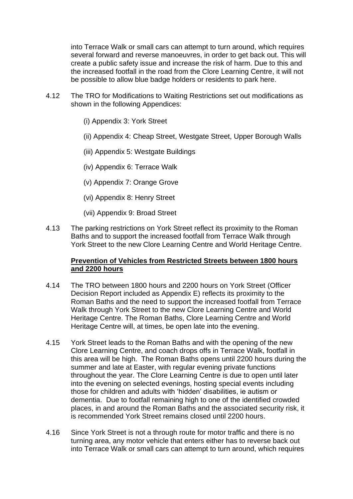into Terrace Walk or small cars can attempt to turn around, which requires several forward and reverse manoeuvres, in order to get back out. This will create a public safety issue and increase the risk of harm. Due to this and the increased footfall in the road from the Clore Learning Centre, it will not be possible to allow blue badge holders or residents to park here.

- 4.12 The TRO for Modifications to Waiting Restrictions set out modifications as shown in the following Appendices:
	- (i) Appendix 3: York Street
	- (ii) Appendix 4: Cheap Street, Westgate Street, Upper Borough Walls
	- (iii) Appendix 5: Westgate Buildings
	- (iv) Appendix 6: Terrace Walk
	- (v) Appendix 7: Orange Grove
	- (vi) Appendix 8: Henry Street
	- (vii) Appendix 9: Broad Street
- 4.13 The parking restrictions on York Street reflect its proximity to the Roman Baths and to support the increased footfall from Terrace Walk through York Street to the new Clore Learning Centre and World Heritage Centre.

## **Prevention of Vehicles from Restricted Streets between 1800 hours and 2200 hours**

- 4.14 The TRO between 1800 hours and 2200 hours on York Street (Officer Decision Report included as Appendix E) reflects its proximity to the Roman Baths and the need to support the increased footfall from Terrace Walk through York Street to the new Clore Learning Centre and World Heritage Centre. The Roman Baths, Clore Learning Centre and World Heritage Centre will, at times, be open late into the evening.
- 4.15 York Street leads to the Roman Baths and with the opening of the new Clore Learning Centre, and coach drops offs in Terrace Walk, footfall in this area will be high. The Roman Baths opens until 2200 hours during the summer and late at Easter, with regular evening private functions throughout the year. The Clore Learning Centre is due to open until later into the evening on selected evenings, hosting special events including those for children and adults with 'hidden' disabilities, ie autism or dementia. Due to footfall remaining high to one of the identified crowded places, in and around the Roman Baths and the associated security risk, it is recommended York Street remains closed until 2200 hours.
- 4.16 Since York Street is not a through route for motor traffic and there is no turning area, any motor vehicle that enters either has to reverse back out into Terrace Walk or small cars can attempt to turn around, which requires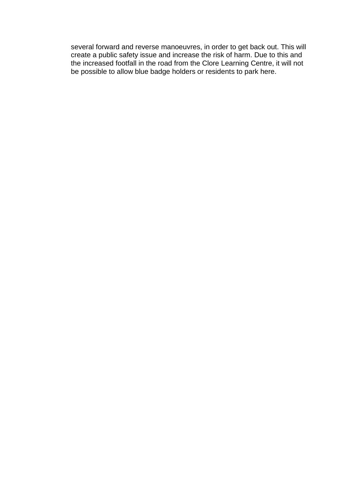several forward and reverse manoeuvres, in order to get back out. This will create a public safety issue and increase the risk of harm. Due to this and the increased footfall in the road from the Clore Learning Centre, it will not be possible to allow blue badge holders or residents to park here.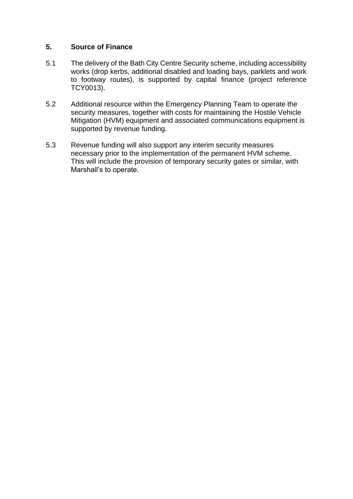# **5. Source of Finance**

- 5.1 The delivery of the Bath City Centre Security scheme, including accessibility works (drop kerbs, additional disabled and loading bays, parklets and work to footway routes), is supported by capital finance (project reference TCY0013).
- 5.2 Additional resource within the Emergency Planning Team to operate the security measures, together with costs for maintaining the Hostile Vehicle Mitigation (HVM) equipment and associated communications equipment is supported by revenue funding.
- 5.3 Revenue funding will also support any interim security measures necessary prior to the implementation of the permanent HVM scheme. This will include the provision of temporary security gates or similar, with Marshall's to operate.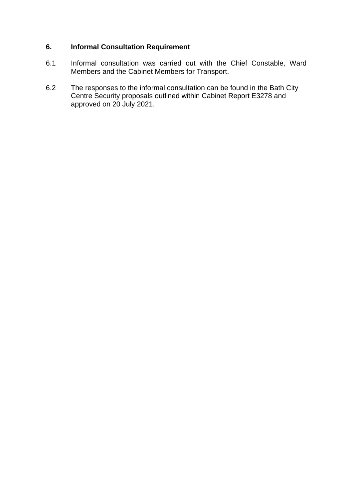# **6. Informal Consultation Requirement**

- 6.1 Informal consultation was carried out with the Chief Constable, Ward Members and the Cabinet Members for Transport.
- 6.2 The responses to the informal consultation can be found in the Bath City Centre Security proposals outlined within Cabinet Report E3278 and approved on 20 July 2021.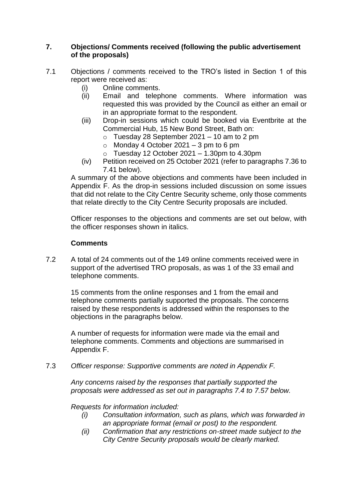## **7. Objections/ Comments received (following the public advertisement of the proposals)**

- 7.1 Objections / comments received to the TRO's listed in Section 1 of this report were received as:
	- (i) Online comments.
	- (ii) Email and telephone comments. Where information was requested this was provided by the Council as either an email or in an appropriate format to the respondent.
	- (iii) Drop-in sessions which could be booked via Eventbrite at the Commercial Hub, 15 New Bond Street, Bath on:
		- $\circ$  Tuesday 28 September 2021 10 am to 2 pm
		- $\circ$  Monday 4 October 2021 3 pm to 6 pm
		- $\circ$  Tuesday 12 October 2021 1.30pm to 4.30pm
	- (iv) Petition received on 25 October 2021 (refer to paragraphs 7.36 to 7.41 below).

A summary of the above objections and comments have been included in Appendix F. As the drop-in sessions included discussion on some issues that did not relate to the City Centre Security scheme, only those comments that relate directly to the City Centre Security proposals are included.

Officer responses to the objections and comments are set out below, with the officer responses shown in italics.

## **Comments**

7.2 A total of 24 comments out of the 149 online comments received were in support of the advertised TRO proposals, as was 1 of the 33 email and telephone comments.

15 comments from the online responses and 1 from the email and telephone comments partially supported the proposals. The concerns raised by these respondents is addressed within the responses to the objections in the paragraphs below.

A number of requests for information were made via the email and telephone comments. Comments and objections are summarised in Appendix F.

7.3 *Officer response: Supportive comments are noted in Appendix F.*

*Any concerns raised by the responses that partially supported the proposals were addressed as set out in paragraphs 7.4 to 7.57 below.*

## *Requests for information included:*

- *(i) Consultation information, such as plans, which was forwarded in an appropriate format (email or post) to the respondent.*
- *(ii) Confirmation that any restrictions on-street made subject to the City Centre Security proposals would be clearly marked.*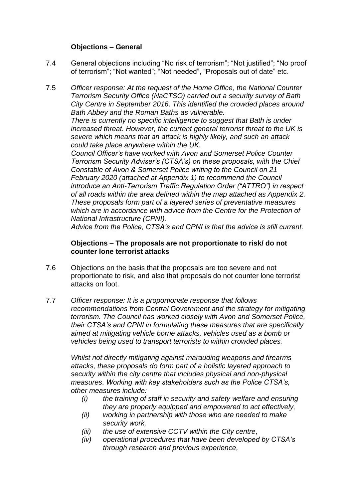## **Objections – General**

7.4 General objections including "No risk of terrorism"; "Not justified"; "No proof of terrorism"; "Not wanted"; "Not needed", "Proposals out of date" etc.

7.5 *Officer response: At the request of the Home Office, the National Counter Terrorism Security Office (NaCTSO) carried out a security survey of Bath City Centre in September 2016. This identified the crowded places around Bath Abbey and the Roman Baths as vulnerable.*

*There is currently no specific intelligence to suggest that Bath is under increased threat. However, the current general terrorist threat to the UK is severe which means that an attack is highly likely, and such an attack could take place anywhere within the UK.*

*Council Officer's have worked with Avon and Somerset Police Counter Terrorism Security Adviser's (CTSA's) on these proposals, with the Chief Constable of Avon & Somerset Police writing to the Council on 21 February 2020 (attached at Appendix 1) to recommend the Council introduce an Anti-Terrorism Traffic Regulation Order ("ATTRO") in respect of all roads within the area defined within the map attached as Appendix 2. These proposals form part of a layered series of preventative measures which are in accordance with advice from the Centre for the Protection of National Infrastructure (CPNI).*

*Advice from the Police, CTSA's and CPNI is that the advice is still current.*

### **Objections – The proposals are not proportionate to risk/ do not counter lone terrorist attacks**

- 7.6 Objections on the basis that the proposals are too severe and not proportionate to risk, and also that proposals do not counter lone terrorist attacks on foot.
- 7.7 *Officer response: It is a proportionate response that follows recommendations from Central Government and the strategy for mitigating terrorism. The Council has worked closely with Avon and Somerset Police, their CTSA's and CPNI in formulating these measures that are specifically aimed at mitigating vehicle borne attacks, vehicles used as a bomb or vehicles being used to transport terrorists to within crowded places.*

*Whilst not directly mitigating against marauding weapons and firearms attacks, these proposals do form part of a holistic layered approach to security within the city centre that includes physical and non-physical measures. Working with key stakeholders such as the Police CTSA's, other measures include:*

- *(i) the training of staff in security and safety welfare and ensuring they are properly equipped and empowered to act effectively,*
- *(ii) working in partnership with those who are needed to make security work,*
- *(iii) the use of extensive CCTV within the City centre,*
- *(iv) operational procedures that have been developed by CTSA's through research and previous experience,*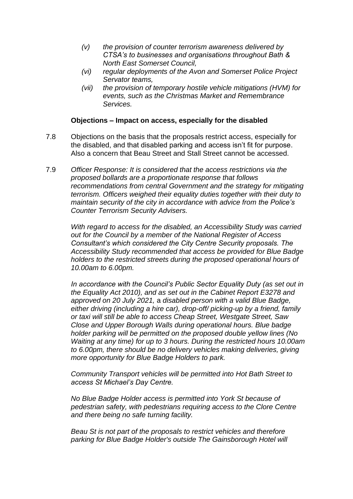- *(v) the provision of counter terrorism awareness delivered by CTSA's to businesses and organisations throughout Bath & North East Somerset Council,*
- *(vi) regular deployments of the Avon and Somerset Police Project Servator teams,*
- *(vii) the provision of temporary hostile vehicle mitigations (HVM) for events, such as the Christmas Market and Remembrance Services.*

### **Objections – Impact on access, especially for the disabled**

- 7.8 Objections on the basis that the proposals restrict access, especially for the disabled, and that disabled parking and access isn't fit for purpose. Also a concern that Beau Street and Stall Street cannot be accessed.
- 7.9 *Officer Response: It is considered that the access restrictions via the proposed bollards are a proportionate response that follows recommendations from central Government and the strategy for mitigating terrorism. Officers weighed their equality duties together with their duty to maintain security of the city in accordance with advice from the Police's Counter Terrorism Security Advisers.*

*With regard to access for the disabled, an Accessibility Study was carried out for the Council by a member of the National Register of Access Consultant's which considered the City Centre Security proposals. The Accessibility Study recommended that access be provided for Blue Badge holders to the restricted streets during the proposed operational hours of 10.00am to 6.00pm.*

*In accordance with the Council's Public Sector Equality Duty (as set out in the Equality Act 2010), and as set out in the Cabinet Report E3278 and approved on 20 July 2021,* a *disabled person with a valid Blue Badge, either driving (including a hire car), drop-off/ picking-up by a friend, family or taxi will still be able to access Cheap Street, Westgate Street, Saw Close and Upper Borough Walls during operational hours. Blue badge holder parking will be permitted on the proposed double yellow lines (No Waiting at any time) for up to 3 hours. During the restricted hours 10.00am to 6.00pm, there should be no delivery vehicles making deliveries, giving more opportunity for Blue Badge Holders to park.*

*Community Transport vehicles will be permitted into Hot Bath Street to access St Michael's Day Centre.*

*No Blue Badge Holder access is permitted into York St because of pedestrian safety, with pedestrians requiring access to the Clore Centre and there being no safe turning facility.*

*Beau St is not part of the proposals to restrict vehicles and therefore parking for Blue Badge Holder's outside The Gainsborough Hotel will*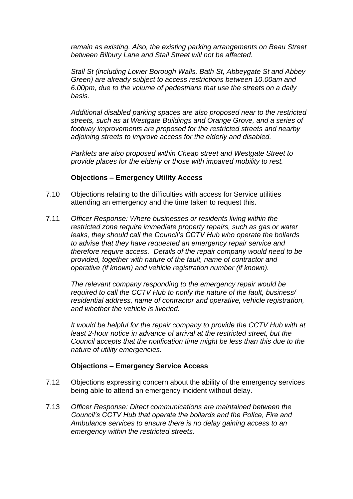*remain as existing. Also, the existing parking arrangements on Beau Street between Bilbury Lane and Stall Street will not be affected.*

*Stall St (including Lower Borough Walls, Bath St, Abbeygate St and Abbey Green) are already subject to access restrictions between 10.00am and 6.00pm, due to the volume of pedestrians that use the streets on a daily basis.*

*Additional disabled parking spaces are also proposed near to the restricted streets, such as at Westgate Buildings and Orange Grove, and a series of footway improvements are proposed for the restricted streets and nearby adjoining streets to improve access for the elderly and disabled.*

*Parklets are also proposed within Cheap street and Westgate Street to provide places for the elderly or those with impaired mobility to rest.* 

## **Objections – Emergency Utility Access**

- 7.10 Objections relating to the difficulties with access for Service utilities attending an emergency and the time taken to request this.
- 7.11 *Officer Response: Where businesses or residents living within the restricted zone require immediate property repairs, such as gas or water leaks, they should call the Council's CCTV Hub who operate the bollards to advise that they have requested an emergency repair service and therefore require access. Details of the repair company would need to be provided, together with nature of the fault, name of contractor and operative (if known) and vehicle registration number (if known).*

*The relevant company responding to the emergency repair would be required to call the CCTV Hub to notify the nature of the fault, business/ residential address, name of contractor and operative, vehicle registration, and whether the vehicle is liveried.*

*It would be helpful for the repair company to provide the CCTV Hub with at least 2-hour notice in advance of arrival at the restricted street, but the Council accepts that the notification time might be less than this due to the nature of utility emergencies.*

## **Objections – Emergency Service Access**

- 7.12 Objections expressing concern about the ability of the emergency services being able to attend an emergency incident without delay.
- 7.13 *Officer Response: Direct communications are maintained between the Council's CCTV Hub that operate the bollards and the Police, Fire and Ambulance services to ensure there is no delay gaining access to an emergency within the restricted streets.*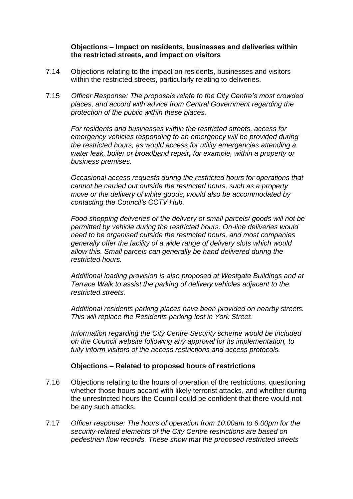## **Objections – Impact on residents, businesses and deliveries within the restricted streets, and impact on visitors**

- 7.14 Objections relating to the impact on residents, businesses and visitors within the restricted streets, particularly relating to deliveries.
- 7.15 *Officer Response: The proposals relate to the City Centre's most crowded places, and accord with advice from Central Government regarding the protection of the public within these places.*

*For residents and businesses within the restricted streets, access for emergency vehicles responding to an emergency will be provided during the restricted hours, as would access for utility emergencies attending a water leak, boiler or broadband repair, for example, within a property or business premises.*

*Occasional access requests during the restricted hours for operations that cannot be carried out outside the restricted hours, such as a property move or the delivery of white goods, would also be accommodated by contacting the Council's CCTV Hub.*

*Food shopping deliveries or the delivery of small parcels/ goods will not be permitted by vehicle during the restricted hours. On-line deliveries would need to be organised outside the restricted hours, and most companies generally offer the facility of a wide range of delivery slots which would allow this. Small parcels can generally be hand delivered during the restricted hours.*

*Additional loading provision is also proposed at Westgate Buildings and at Terrace Walk to assist the parking of delivery vehicles adjacent to the restricted streets.*

*Additional residents parking places have been provided on nearby streets. This will replace the Residents parking lost in York Street.*

*Information regarding the City Centre Security scheme would be included on the Council website following any approval for its implementation, to fully inform visitors of the access restrictions and access protocols.*

## **Objections – Related to proposed hours of restrictions**

- 7.16 Objections relating to the hours of operation of the restrictions, questioning whether those hours accord with likely terrorist attacks, and whether during the unrestricted hours the Council could be confident that there would not be any such attacks.
- 7.17 *Officer response: The hours of operation from 10.00am to 6.00pm for the security-related elements of the City Centre restrictions are based on pedestrian flow records. These show that the proposed restricted streets*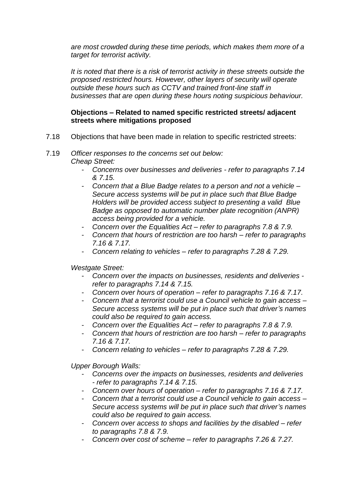*are most crowded during these time periods, which makes them more of a target for terrorist activity.*

*It is noted that there is a risk of terrorist activity in these streets outside the proposed restricted hours. However, other layers of security will operate outside these hours such as CCTV and trained front-line staff in businesses that are open during these hours noting suspicious behaviour.*

# **Objections – Related to named specific restricted streets/ adjacent streets where mitigations proposed**

7.18 Objections that have been made in relation to specific restricted streets:

#### 7.19 *Officer responses to the concerns set out below: Cheap Street:*

- *Concerns over businesses and deliveries - refer to paragraphs 7.14 & 7.15.*
- *Concern that a Blue Badge relates to a person and not a vehicle – Secure access systems will be put in place such that Blue Badge Holders will be provided access subject to presenting a valid Blue Badge as opposed to automatic number plate recognition (ANPR) access being provided for a vehicle.*
- *Concern over the Equalities Act – refer to paragraphs 7.8 & 7.9.*
- *Concern that hours of restriction are too harsh – refer to paragraphs 7.16 & 7.17.*
- *Concern relating to vehicles – refer to paragraphs 7.28 & 7.29.*

*Westgate Street:*

- *Concern over the impacts on businesses, residents and deliveries refer to paragraphs 7.14 & 7.15.*
- *Concern over hours of operation – refer to paragraphs 7.16 & 7.17.*
- *Concern that a terrorist could use a Council vehicle to gain access – Secure access systems will be put in place such that driver's names could also be required to gain access.*
- *Concern over the Equalities Act – refer to paragraphs 7.8 & 7.9.*
- *Concern that hours of restriction are too harsh – refer to paragraphs 7.16 & 7.17.*
- *Concern relating to vehicles – refer to paragraphs 7.28 & 7.29.*

*Upper Borough Walls:*

- *Concerns over the impacts on businesses, residents and deliveries - refer to paragraphs 7.14 & 7.15.*
- *Concern over hours of operation – refer to paragraphs 7.16 & 7.17.*
- *Concern that a terrorist could use a Council vehicle to gain access – Secure access systems will be put in place such that driver's names could also be required to gain access.*
- *Concern over access to shops and facilities by the disabled – refer to paragraphs 7.8 & 7.9.*
- *Concern over cost of scheme – refer to paragraphs 7.26 & 7.27.*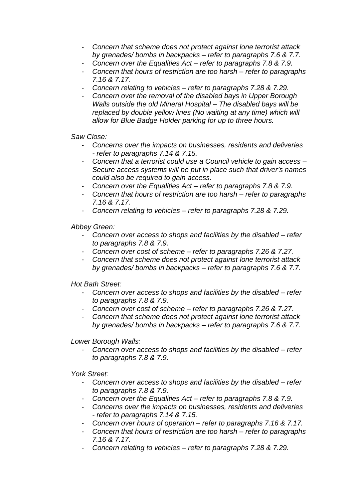- *Concern that scheme does not protect against lone terrorist attack by grenades/ bombs in backpacks – refer to paragraphs 7.6 & 7.7.*
- *Concern over the Equalities Act – refer to paragraphs 7.8 & 7.9.*
- *Concern that hours of restriction are too harsh – refer to paragraphs 7.16 & 7.17.*
- *Concern relating to vehicles – refer to paragraphs 7.28 & 7.29.*
- *Concern over the removal of the disabled bays in Upper Borough Walls outside the old Mineral Hospital – The disabled bays will be replaced by double yellow lines (No waiting at any time) which will allow for Blue Badge Holder parking for up to three hours.*

*Saw Close:*

- *Concerns over the impacts on businesses, residents and deliveries - refer to paragraphs 7.14 & 7.15.*
- *Concern that a terrorist could use a Council vehicle to gain access – Secure access systems will be put in place such that driver's names could also be required to gain access.*
- *Concern over the Equalities Act – refer to paragraphs 7.8 & 7.9.*
- *Concern that hours of restriction are too harsh – refer to paragraphs 7.16 & 7.17.*
- *Concern relating to vehicles – refer to paragraphs 7.28 & 7.29.*

*Abbey Green:*

- *Concern over access to shops and facilities by the disabled – refer to paragraphs 7.8 & 7.9.*
- *Concern over cost of scheme – refer to paragraphs 7.26 & 7.27.*
- *Concern that scheme does not protect against lone terrorist attack by grenades/ bombs in backpacks – refer to paragraphs 7.6 & 7.7.*

*Hot Bath Street:*

- *Concern over access to shops and facilities by the disabled – refer to paragraphs 7.8 & 7.9.*
- *Concern over cost of scheme – refer to paragraphs 7.26 & 7.27.*
- *Concern that scheme does not protect against lone terrorist attack by grenades/ bombs in backpacks – refer to paragraphs 7.6 & 7.7.*

*Lower Borough Walls:*

- *Concern over access to shops and facilities by the disabled – refer to paragraphs 7.8 & 7.9.*

*York Street:*

- *Concern over access to shops and facilities by the disabled – refer to paragraphs 7.8 & 7.9.*
- *Concern over the Equalities Act – refer to paragraphs 7.8 & 7.9.*
- *Concerns over the impacts on businesses, residents and deliveries - refer to paragraphs 7.14 & 7.15.*
- *Concern over hours of operation – refer to paragraphs 7.16 & 7.17.*
- *Concern that hours of restriction are too harsh – refer to paragraphs 7.16 & 7.17.*
- *Concern relating to vehicles – refer to paragraphs 7.28 & 7.29.*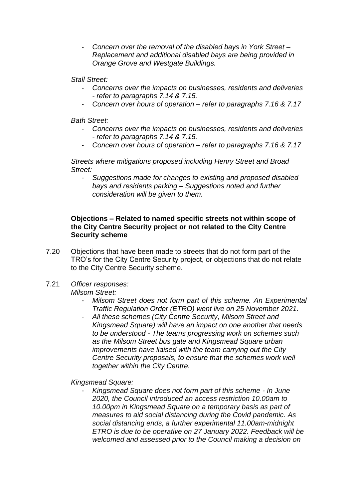- *Concern over the removal of the disabled bays in York Street – Replacement and additional disabled bays are being provided in Orange Grove and Westgate Buildings.*

#### *Stall Street:*

- *Concerns over the impacts on businesses, residents and deliveries - refer to paragraphs 7.14 & 7.15.*
- *Concern over hours of operation – refer to paragraphs 7.16 & 7.17*

*Bath Street:*

- *Concerns over the impacts on businesses, residents and deliveries - refer to paragraphs 7.14 & 7.15.*
- *Concern over hours of operation – refer to paragraphs 7.16 & 7.17*

*Streets where mitigations proposed including Henry Street and Broad Street:*

- *Suggestions made for changes to existing and proposed disabled bays and residents parking – Suggestions noted and further consideration will be given to them.*

#### **Objections – Related to named specific streets not within scope of the City Centre Security project or not related to the City Centre Security scheme**

- 7.20 Objections that have been made to streets that do not form part of the TRO's for the City Centre Security project, or objections that do not relate to the City Centre Security scheme.
- 7.21 *Officer responses: Milsom Street:*
	- - *Milsom Street does not form part of this scheme. An Experimental Traffic Regulation Order (ETRO) went live on 25 November 2021.*
		- *All these schemes (City Centre Security, Milsom Street and Kingsmead Square) will have an impact on one another that needs to be understood - The teams progressing work on schemes such as the Milsom Street bus gate and Kingsmead Square urban improvements have liaised with the team carrying out the City Centre Security proposals, to ensure that the schemes work well together within the City Centre.*

## *Kingsmead Square:*

- *Kingsmead Square does not form part of this scheme - In June 2020, the Council introduced an access restriction 10.00am to 10.00pm in Kingsmead Square on a temporary basis as part of measures to aid social distancing during the Covid pandemic. As social distancing ends, a further experimental 11.00am-midnight ETRO is due to be operative on 27 January 2022. Feedback will be welcomed and assessed prior to the Council making a decision on*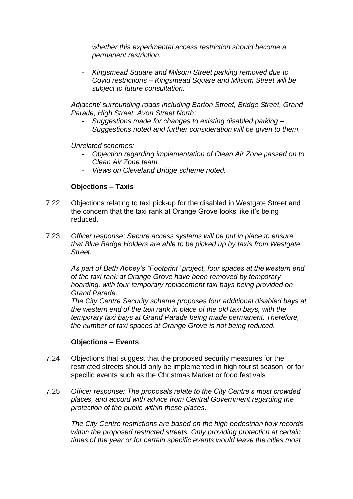*whether this experimental access restriction should become a permanent restriction.*

- *Kingsmead Square and Milsom Street parking removed due to Covid restrictions – Kingsmead Square and Milsom Street will be subject to future consultation.*

*Adjacent/ surrounding roads including Barton Street, Bridge Street, Grand Parade, High Street, Avon Street North:*

- *Suggestions made for changes to existing disabled parking – Suggestions noted and further consideration will be given to them.* 

*Unrelated schemes:*

- *Objection regarding implementation of Clean Air Zone passed on to Clean Air Zone team.*
- *Views on Cleveland Bridge scheme noted.*

## **Objections – Taxis**

- 7.22 Objections relating to taxi pick-up for the disabled in Westgate Street and the concern that the taxi rank at Orange Grove looks like it's being reduced.
- 7.23 *Officer response: Secure access systems will be put in place to ensure that Blue Badge Holders are able to be picked up by taxis from Westgate Street.*

*As part of Bath Abbey's "Footprint" project, four spaces at the western end of the taxi rank at Orange Grove have been removed by temporary hoarding, with four temporary replacement taxi bays being provided on Grand Parade.*

*The City Centre Security scheme proposes four additional disabled bays at the western end of the taxi rank in place of the old taxi bays, with the temporary taxi bays at Grand Parade being made permanent. Therefore, the number of taxi spaces at Orange Grove is not being reduced.*

## **Objections – Events**

- 7.24 Objections that suggest that the proposed security measures for the restricted streets should only be implemented in high tourist season, or for specific events such as the Christmas Market or food festivals
- 7.25 *Officer response: The proposals relate to the City Centre's most crowded places, and accord with advice from Central Government regarding the protection of the public within these places.*

*The City Centre restrictions are based on the high pedestrian flow records within the proposed restricted streets. Only providing protection at certain times of the year or for certain specific events would leave the cities most*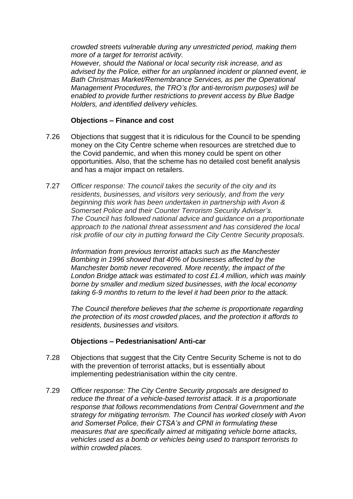*crowded streets vulnerable during any unrestricted period, making them more of a target for terrorist activity.*

*However, should the National or local security risk increase, and as advised by the Police, either for an unplanned incident or planned event, ie Bath Christmas Market/Remembrance Services, as per the Operational Management Procedures, the TRO's (for anti-terrorism purposes) will be enabled to provide further restrictions to prevent access by Blue Badge Holders, and identified delivery vehicles.*

## **Objections – Finance and cost**

- 7.26 Objections that suggest that it is ridiculous for the Council to be spending money on the City Centre scheme when resources are stretched due to the Covid pandemic, and when this money could be spent on other opportunities. Also, that the scheme has no detailed cost benefit analysis and has a major impact on retailers.
- 7.27 *Officer response: The council takes the security of the city and its residents, businesses, and visitors very seriously, and from the very beginning this work has been undertaken in partnership with Avon & Somerset Police and their Counter Terrorism Security Adviser's. The Council has followed national advice and guidance on a proportionate approach to the national threat assessment and has considered the local risk profile of our city in putting forward the City Centre Security proposals.*

*Information from previous terrorist attacks such as the Manchester Bombing in 1996 showed that 40% of businesses affected by the Manchester bomb never recovered. More recently, the impact of the London Bridge attack was estimated to cost £1.4 million, which was mainly borne by smaller and medium sized businesses, with the local economy taking 6-9 months to return to the level it had been prior to the attack.*

*The Council therefore believes that the scheme is proportionate regarding the protection of its most crowded places, and the protection it affords to residents, businesses and visitors.*

## **Objections – Pedestrianisation/ Anti-car**

- 7.28 Objections that suggest that the City Centre Security Scheme is not to do with the prevention of terrorist attacks, but is essentially about implementing pedestrianisation within the city centre.
- 7.29 *Officer response: The City Centre Security proposals are designed to reduce the threat of a vehicle-based terrorist attack. It is a proportionate response that follows recommendations from Central Government and the strategy for mitigating terrorism. The Council has worked closely with Avon and Somerset Police, their CTSA's and CPNI in formulating these measures that are specifically aimed at mitigating vehicle borne attacks, vehicles used as a bomb or vehicles being used to transport terrorists to within crowded places.*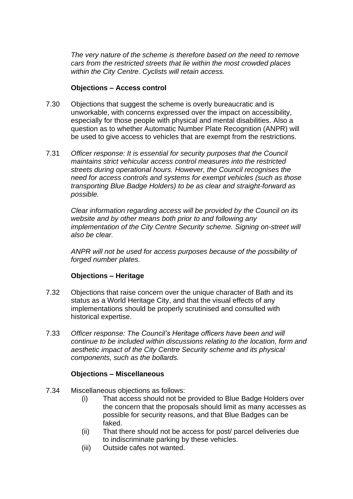*The very nature of the scheme is therefore based on the need to remove cars from the restricted streets that lie within the most crowded places within the City Centre. Cyclists will retain access.*

### **Objections – Access control**

- 7.30 Objections that suggest the scheme is overly bureaucratic and is unworkable, with concerns expressed over the impact on accessibility, especially for those people with physical and mental disabilities. Also a question as to whether Automatic Number Plate Recognition (ANPR) will be used to give access to vehicles that are exempt from the restrictions.
- 7.31 *Officer response: It is essential for security purposes that the Council maintains strict vehicular access control measures into the restricted streets during operational hours. However, the Council recognises the need for access controls and systems for exempt vehicles (such as those transporting Blue Badge Holders) to be as clear and straight-forward as possible.*

*Clear information regarding access will be provided by the Council on its website and by other means both prior to and following any implementation of the City Centre Security scheme. Signing on-street will also be clear.*

*ANPR will not be used for access purposes because of the possibility of forged number plates.*

## **Objections – Heritage**

- 7.32 Objections that raise concern over the unique character of Bath and its status as a World Heritage City, and that the visual effects of any implementations should be properly scrutinised and consulted with historical expertise.
- 7.33 *Officer response: The Council's Heritage officers have been and will continue to be included within discussions relating to the location, form and aesthetic impact of the City Centre Security scheme and its physical components, such as the bollards.*

## **Objections – Miscellaneous**

- 7.34 Miscellaneous objections as follows:
	- (i) That access should not be provided to Blue Badge Holders over the concern that the proposals should limit as many accesses as possible for security reasons, and that Blue Badges can be faked.
	- (ii) That there should not be access for post/ parcel deliveries due to indiscriminate parking by these vehicles.
	- (iii) Outside cafes not wanted.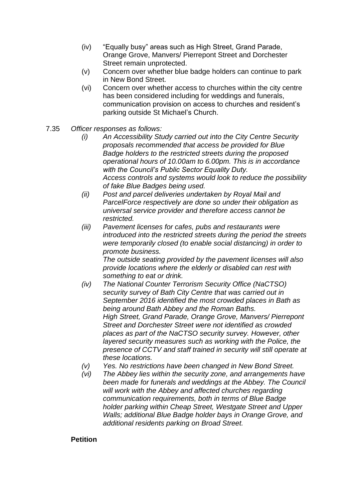- (iv) "Equally busy" areas such as High Street, Grand Parade, Orange Grove, Manvers/ Pierrepont Street and Dorchester Street remain unprotected.
- (v) Concern over whether blue badge holders can continue to park in New Bond Street.
- (vi) Concern over whether access to churches within the city centre has been considered including for weddings and funerals, communication provision on access to churches and resident's parking outside St Michael's Church.
- 7.35 *Officer responses as follows:*
	- *(i) An Accessibility Study carried out into the City Centre Security proposals recommended that access be provided for Blue Badge holders to the restricted streets during the proposed operational hours of 10.00am to 6.00pm. This is in accordance with the Council's Public Sector Equality Duty. Access controls and systems would look to reduce the possibility of fake Blue Badges being used.*
	- *(ii) Post and parcel deliveries undertaken by Royal Mail and ParcelForce respectively are done so under their obligation as universal service provider and therefore access cannot be restricted.*
	- *(iii) Pavement licenses for cafes, pubs and restaurants were introduced into the restricted streets during the period the streets were temporarily closed (to enable social distancing) in order to promote business.*

*The outside seating provided by the pavement licenses will also provide locations where the elderly or disabled can rest with something to eat or drink.*

- *(iv) The National Counter Terrorism Security Office (NaCTSO) security survey of Bath City Centre that was carried out in September 2016 identified the most crowded places in Bath as being around Bath Abbey and the Roman Baths. High Street, Grand Parade, Orange Grove, Manvers/ Pierrepont Street and Dorchester Street were not identified as crowded places as part of the NaCTSO security survey. However, other layered security measures such as working with the Police, the presence of CCTV and staff trained in security will still operate at these locations.*
- *(v) Yes. No restrictions have been changed in New Bond Street.*
- *(vi) The Abbey lies within the security zone, and arrangements have been made for funerals and weddings at the Abbey. The Council will work with the Abbey and affected churches regarding communication requirements, both in terms of Blue Badge holder parking within Cheap Street, Westgate Street and Upper Walls; additional Blue Badge holder bays in Orange Grove, and additional residents parking on Broad Street.*

## **Petition**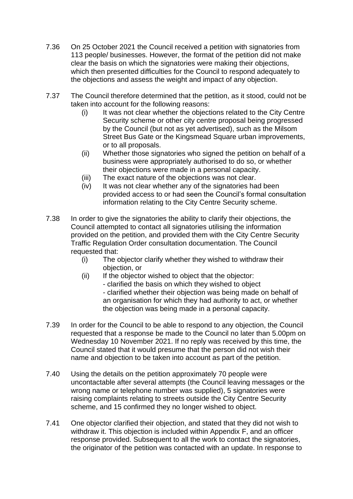- 7.36 On 25 October 2021 the Council received a petition with signatories from 113 people/ businesses. However, the format of the petition did not make clear the basis on which the signatories were making their objections, which then presented difficulties for the Council to respond adequately to the objections and assess the weight and impact of any objection.
- 7.37 The Council therefore determined that the petition, as it stood, could not be taken into account for the following reasons:
	- (i) It was not clear whether the objections related to the City Centre Security scheme or other city centre proposal being progressed by the Council (but not as yet advertised), such as the Milsom Street Bus Gate or the Kingsmead Square urban improvements, or to all proposals.
	- (ii) Whether those signatories who signed the petition on behalf of a business were appropriately authorised to do so, or whether their objections were made in a personal capacity.
	- (iii) The exact nature of the objections was not clear.
	- (iv) It was not clear whether any of the signatories had been provided access to or had seen the Council's formal consultation information relating to the City Centre Security scheme.
- 7.38 In order to give the signatories the ability to clarify their objections, the Council attempted to contact all signatories utilising the information provided on the petition, and provided them with the City Centre Security Traffic Regulation Order consultation documentation. The Council requested that:
	- (i) The objector clarify whether they wished to withdraw their objection, or
	- (ii) If the objector wished to object that the objector:
		- clarified the basis on which they wished to object

- clarified whether their objection was being made on behalf of an organisation for which they had authority to act, or whether the objection was being made in a personal capacity.

- 7.39 In order for the Council to be able to respond to any objection, the Council requested that a response be made to the Council no later than 5.00pm on Wednesday 10 November 2021. If no reply was received by this time, the Council stated that it would presume that the person did not wish their name and objection to be taken into account as part of the petition.
- 7.40 Using the details on the petition approximately 70 people were uncontactable after several attempts (the Council leaving messages or the wrong name or telephone number was supplied), 5 signatories were raising complaints relating to streets outside the City Centre Security scheme, and 15 confirmed they no longer wished to object.
- 7.41 One objector clarified their objection, and stated that they did not wish to withdraw it. This objection is included within Appendix F, and an officer response provided. Subsequent to all the work to contact the signatories, the originator of the petition was contacted with an update. In response to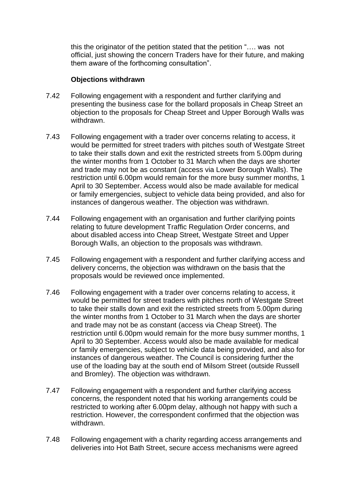this the originator of the petition stated that the petition "…. was not official, just showing the concern Traders have for their future, and making them aware of the forthcoming consultation".

#### **Objections withdrawn**

- 7.42 Following engagement with a respondent and further clarifying and presenting the business case for the bollard proposals in Cheap Street an objection to the proposals for Cheap Street and Upper Borough Walls was withdrawn.
- 7.43 Following engagement with a trader over concerns relating to access, it would be permitted for street traders with pitches south of Westgate Street to take their stalls down and exit the restricted streets from 5.00pm during the winter months from 1 October to 31 March when the days are shorter and trade may not be as constant (access via Lower Borough Walls). The restriction until 6.00pm would remain for the more busy summer months, 1 April to 30 September. Access would also be made available for medical or family emergencies, subject to vehicle data being provided, and also for instances of dangerous weather. The objection was withdrawn.
- 7.44 Following engagement with an organisation and further clarifying points relating to future development Traffic Regulation Order concerns, and about disabled access into Cheap Street, Westgate Street and Upper Borough Walls, an objection to the proposals was withdrawn.
- 7.45 Following engagement with a respondent and further clarifying access and delivery concerns, the objection was withdrawn on the basis that the proposals would be reviewed once implemented.
- 7.46 Following engagement with a trader over concerns relating to access, it would be permitted for street traders with pitches north of Westgate Street to take their stalls down and exit the restricted streets from 5.00pm during the winter months from 1 October to 31 March when the days are shorter and trade may not be as constant (access via Cheap Street). The restriction until 6.00pm would remain for the more busy summer months, 1 April to 30 September. Access would also be made available for medical or family emergencies, subject to vehicle data being provided, and also for instances of dangerous weather. The Council is considering further the use of the loading bay at the south end of Milsom Street (outside Russell and Bromley). The objection was withdrawn.
- 7.47 Following engagement with a respondent and further clarifying access concerns, the respondent noted that his working arrangements could be restricted to working after 6.00pm delay, although not happy with such a restriction. However, the correspondent confirmed that the objection was withdrawn.
- 7.48 Following engagement with a charity regarding access arrangements and deliveries into Hot Bath Street, secure access mechanisms were agreed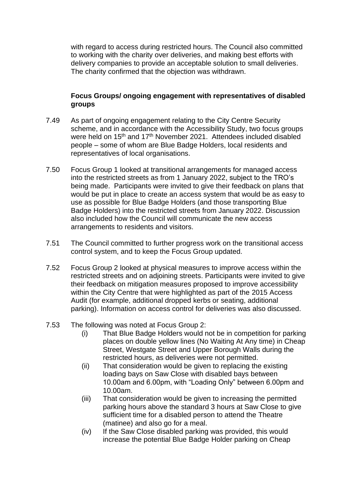with regard to access during restricted hours. The Council also committed to working with the charity over deliveries, and making best efforts with delivery companies to provide an acceptable solution to small deliveries. The charity confirmed that the objection was withdrawn.

## **Focus Groups/ ongoing engagement with representatives of disabled groups**

- 7.49 As part of ongoing engagement relating to the City Centre Security scheme, and in accordance with the Accessibility Study, two focus groups were held on 15<sup>th</sup> and 17<sup>th</sup> November 2021. Attendees included disabled people – some of whom are Blue Badge Holders, local residents and representatives of local organisations.
- 7.50 Focus Group 1 looked at transitional arrangements for managed access into the restricted streets as from 1 January 2022, subject to the TRO's being made. Participants were invited to give their feedback on plans that would be put in place to create an access system that would be as easy to use as possible for Blue Badge Holders (and those transporting Blue Badge Holders) into the restricted streets from January 2022. Discussion also included how the Council will communicate the new access arrangements to residents and visitors.
- 7.51 The Council committed to further progress work on the transitional access control system, and to keep the Focus Group updated.
- 7.52 Focus Group 2 looked at physical measures to improve access within the restricted streets and on adjoining streets. Participants were invited to give their feedback on mitigation measures proposed to improve accessibility within the City Centre that were highlighted as part of the 2015 Access Audit (for example, additional dropped kerbs or seating, additional parking). Information on access control for deliveries was also discussed.
- 7.53 The following was noted at Focus Group 2:
	- (i) That Blue Badge Holders would not be in competition for parking places on double yellow lines (No Waiting At Any time) in Cheap Street, Westgate Street and Upper Borough Walls during the restricted hours, as deliveries were not permitted.
	- (ii) That consideration would be given to replacing the existing loading bays on Saw Close with disabled bays between 10.00am and 6.00pm, with "Loading Only" between 6.00pm and 10.00am.
	- (iii) That consideration would be given to increasing the permitted parking hours above the standard 3 hours at Saw Close to give sufficient time for a disabled person to attend the Theatre (matinee) and also go for a meal.
	- (iv) If the Saw Close disabled parking was provided, this would increase the potential Blue Badge Holder parking on Cheap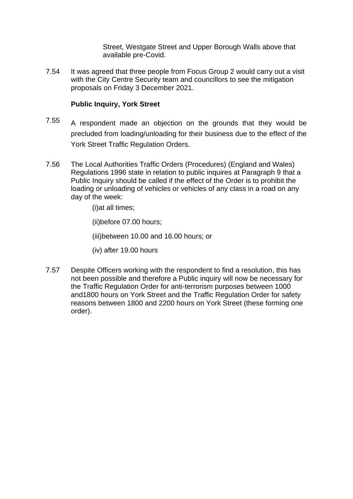Street, Westgate Street and Upper Borough Walls above that available pre-Covid.

7.54 It was agreed that three people from Focus Group 2 would carry out a visit with the City Centre Security team and councillors to see the mitigation proposals on Friday 3 December 2021.

## **Public Inquiry, York Street**

- 7.55 A respondent made an objection on the grounds that they would be precluded from loading/unloading for their business due to the effect of the York Street Traffic Regulation Orders.
- 7.56 The Local Authorities Traffic Orders (Procedures) (England and Wales) Regulations 1996 state in relation to public inquires at Paragraph 9 that a Public Inquiry should be called if the effect of the Order is to prohibit the loading or unloading of vehicles or vehicles of any class in a road on any day of the week:

(i)at all times;

(ii)before 07.00 hours;

(iii)between 10.00 and 16.00 hours; or

(iv) after 19.00 hours

7.57 Despite Officers working with the respondent to find a resolution, this has not been possible and therefore a Public inquiry will now be necessary for the Traffic Regulation Order for anti-terrorism purposes between 1000 and1800 hours on York Street and the Traffic Regulation Order for safety reasons between 1800 and 2200 hours on York Street (these forming one order).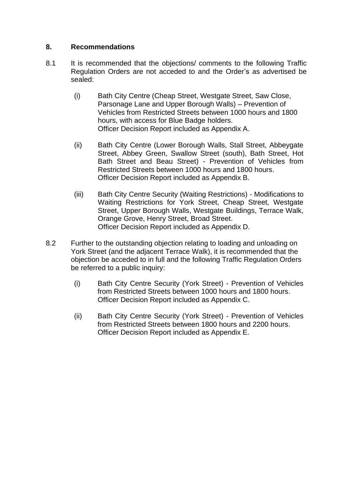## **8. Recommendations**

- 8.1 It is recommended that the objections/ comments to the following Traffic Regulation Orders are not acceded to and the Order's as advertised be sealed:
	- (i) Bath City Centre (Cheap Street, Westgate Street, Saw Close, Parsonage Lane and Upper Borough Walls) – Prevention of Vehicles from Restricted Streets between 1000 hours and 1800 hours, with access for Blue Badge holders. Officer Decision Report included as Appendix A.
	- (ii) Bath City Centre (Lower Borough Walls, Stall Street, Abbeygate Street, Abbey Green, Swallow Street (south), Bath Street, Hot Bath Street and Beau Street) - Prevention of Vehicles from Restricted Streets between 1000 hours and 1800 hours. Officer Decision Report included as Appendix B.
	- (iii) Bath City Centre Security (Waiting Restrictions) Modifications to Waiting Restrictions for York Street, Cheap Street, Westgate Street, Upper Borough Walls, Westgate Buildings, Terrace Walk, Orange Grove, Henry Street, Broad Street. Officer Decision Report included as Appendix D.
- 8.2 Further to the outstanding objection relating to loading and unloading on York Street (and the adjacent Terrace Walk), it is recommended that the objection be acceded to in full and the following Traffic Regulation Orders be referred to a public inquiry:
	- (i) Bath City Centre Security (York Street) Prevention of Vehicles from Restricted Streets between 1000 hours and 1800 hours. Officer Decision Report included as Appendix C.
	- (ii) Bath City Centre Security (York Street) Prevention of Vehicles from Restricted Streets between 1800 hours and 2200 hours. Officer Decision Report included as Appendix E.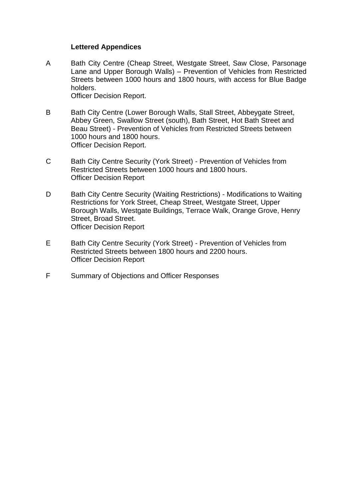#### **Lettered Appendices**

- A Bath City Centre (Cheap Street, Westgate Street, Saw Close, Parsonage Lane and Upper Borough Walls) – Prevention of Vehicles from Restricted Streets between 1000 hours and 1800 hours, with access for Blue Badge holders. Officer Decision Report.
- B Bath City Centre (Lower Borough Walls, Stall Street, Abbeygate Street, Abbey Green, Swallow Street (south), Bath Street, Hot Bath Street and Beau Street) - Prevention of Vehicles from Restricted Streets between 1000 hours and 1800 hours. Officer Decision Report.
- C Bath City Centre Security (York Street) Prevention of Vehicles from Restricted Streets between 1000 hours and 1800 hours. Officer Decision Report
- D Bath City Centre Security (Waiting Restrictions) Modifications to Waiting Restrictions for York Street, Cheap Street, Westgate Street, Upper Borough Walls, Westgate Buildings, Terrace Walk, Orange Grove, Henry Street, Broad Street. Officer Decision Report
- E Bath City Centre Security (York Street) Prevention of Vehicles from Restricted Streets between 1800 hours and 2200 hours. Officer Decision Report
- F Summary of Objections and Officer Responses